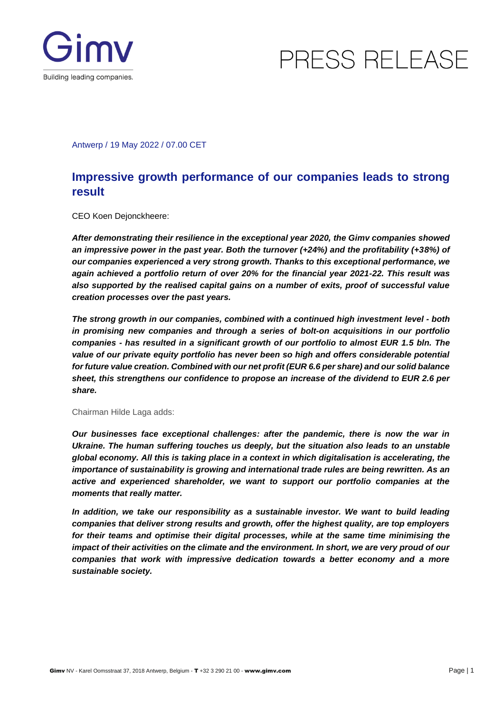



Antwerp / 19 May 2022 / 07.00 CET

### **Impressive growth performance of our companies leads to strong result**

CEO Koen Dejonckheere:

*After demonstrating their resilience in the exceptional year 2020, the Gimv companies showed an impressive power in the past year. Both the turnover (+24%) and the profitability (+38%) of our companies experienced a very strong growth. Thanks to this exceptional performance, we again achieved a portfolio return of over 20% for the financial year 2021-22. This result was also supported by the realised capital gains on a number of exits, proof of successful value creation processes over the past years.*

*The strong growth in our companies, combined with a continued high investment level - both in promising new companies and through a series of bolt-on acquisitions in our portfolio companies - has resulted in a significant growth of our portfolio to almost EUR 1.5 bln. The value of our private equity portfolio has never been so high and offers considerable potential for future value creation. Combined with our net profit (EUR 6.6 per share) and our solid balance sheet, this strengthens our confidence to propose an increase of the dividend to EUR 2.6 per share.*

#### Chairman Hilde Laga adds:

*Our businesses face exceptional challenges: after the pandemic, there is now the war in Ukraine. The human suffering touches us deeply, but the situation also leads to an unstable global economy. All this is taking place in a context in which digitalisation is accelerating, the importance of sustainability is growing and international trade rules are being rewritten. As an active and experienced shareholder, we want to support our portfolio companies at the moments that really matter.* 

In addition, we take our responsibility as a sustainable investor. We want to build leading *companies that deliver strong results and growth, offer the highest quality, are top employers for their teams and optimise their digital processes, while at the same time minimising the impact of their activities on the climate and the environment. In short, we are very proud of our companies that work with impressive dedication towards a better economy and a more sustainable society.*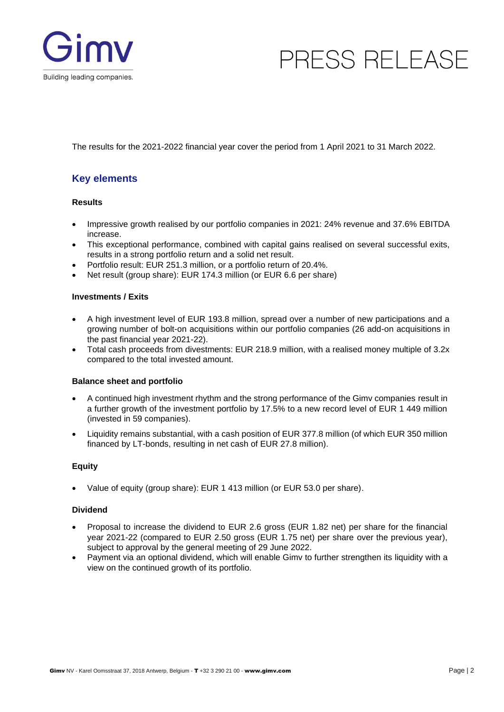

The results for the 2021-2022 financial year cover the period from 1 April 2021 to 31 March 2022.

### **Key elements**

#### **Results**

- Impressive growth realised by our portfolio companies in 2021: 24% revenue and 37.6% EBITDA increase.
- This exceptional performance, combined with capital gains realised on several successful exits, results in a strong portfolio return and a solid net result.
- Portfolio result: EUR 251.3 million, or a portfolio return of 20.4%.
- Net result (group share): EUR 174.3 million (or EUR 6.6 per share)

#### **Investments / Exits**

- A high investment level of EUR 193.8 million, spread over a number of new participations and a growing number of bolt-on acquisitions within our portfolio companies (26 add-on acquisitions in the past financial year 2021-22).
- Total cash proceeds from divestments: EUR 218.9 million, with a realised money multiple of 3.2x compared to the total invested amount.

#### **Balance sheet and portfolio**

- A continued high investment rhythm and the strong performance of the Gimv companies result in a further growth of the investment portfolio by 17.5% to a new record level of EUR 1 449 million (invested in 59 companies).
- Liquidity remains substantial, with a cash position of EUR 377.8 million (of which EUR 350 million financed by LT-bonds, resulting in net cash of EUR 27.8 million).

#### **Equity**

Value of equity (group share): EUR 1 413 million (or EUR 53.0 per share).

#### **Dividend**

- Proposal to increase the dividend to EUR 2.6 gross (EUR 1.82 net) per share for the financial year 2021-22 (compared to EUR 2.50 gross (EUR 1.75 net) per share over the previous year), subject to approval by the general meeting of 29 June 2022.
- Payment via an optional dividend, which will enable Gimv to further strengthen its liquidity with a view on the continued growth of its portfolio.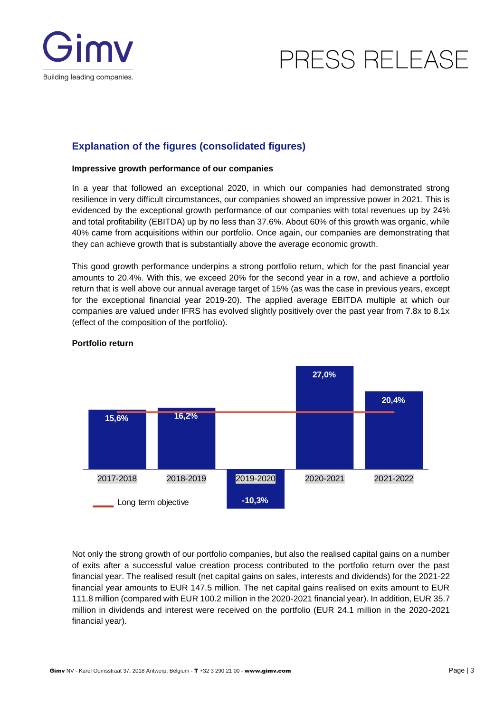



### **Explanation of the figures (consolidated figures)**

#### **Impressive growth performance of our companies**

In a year that followed an exceptional 2020, in which our companies had demonstrated strong resilience in very difficult circumstances, our companies showed an impressive power in 2021. This is evidenced by the exceptional growth performance of our companies with total revenues up by 24% and total profitability (EBITDA) up by no less than 37.6%. About 60% of this growth was organic, while 40% came from acquisitions within our portfolio. Once again, our companies are demonstrating that they can achieve growth that is substantially above the average economic growth.

This good growth performance underpins a strong portfolio return, which for the past financial year amounts to 20.4%. With this, we exceed 20% for the second year in a row, and achieve a portfolio return that is well above our annual average target of 15% (as was the case in previous years, except for the exceptional financial year 2019-20). The applied average EBITDA multiple at which our companies are valued under IFRS has evolved slightly positively over the past year from 7.8x to 8.1x (effect of the composition of the portfolio).



#### **Portfolio return**

Not only the strong growth of our portfolio companies, but also the realised capital gains on a number of exits after a successful value creation process contributed to the portfolio return over the past financial year. The realised result (net capital gains on sales, interests and dividends) for the 2021-22 financial year amounts to EUR 147.5 million. The net capital gains realised on exits amount to EUR 111.8 million (compared with EUR 100.2 million in the 2020-2021 financial year). In addition, EUR 35.7 million in dividends and interest were received on the portfolio (EUR 24.1 million in the 2020-2021 financial year).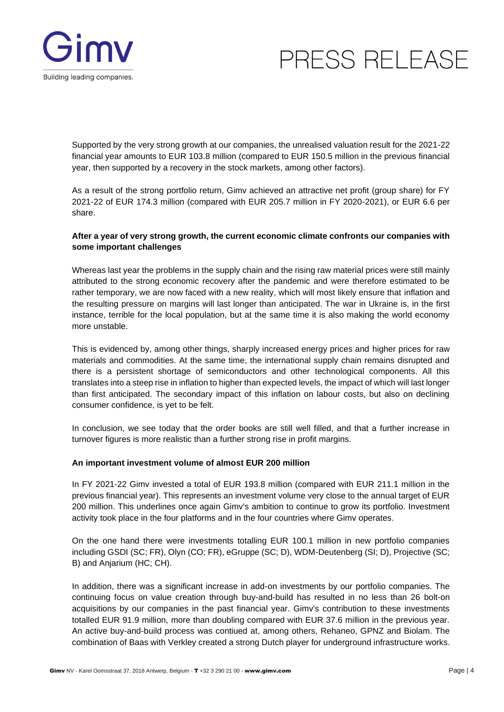

Supported by the very strong growth at our companies, the unrealised valuation result for the 2021-22 financial year amounts to EUR 103.8 million (compared to EUR 150.5 million in the previous financial year, then supported by a recovery in the stock markets, among other factors).

As a result of the strong portfolio return, Gimv achieved an attractive net profit (group share) for FY 2021-22 of EUR 174.3 million (compared with EUR 205.7 million in FY 2020-2021), or EUR 6.6 per share.

#### **After a year of very strong growth, the current economic climate confronts our companies with some important challenges**

Whereas last year the problems in the supply chain and the rising raw material prices were still mainly attributed to the strong economic recovery after the pandemic and were therefore estimated to be rather temporary, we are now faced with a new reality, which will most likely ensure that inflation and the resulting pressure on margins will last longer than anticipated. The war in Ukraine is, in the first instance, terrible for the local population, but at the same time it is also making the world economy more unstable.

This is evidenced by, among other things, sharply increased energy prices and higher prices for raw materials and commodities. At the same time, the international supply chain remains disrupted and there is a persistent shortage of semiconductors and other technological components. All this translates into a steep rise in inflation to higher than expected levels, the impact of which will last longer than first anticipated. The secondary impact of this inflation on labour costs, but also on declining consumer confidence, is yet to be felt.

In conclusion, we see today that the order books are still well filled, and that a further increase in turnover figures is more realistic than a further strong rise in profit margins.

#### **An important investment volume of almost EUR 200 million**

In FY 2021-22 Gimv invested a total of EUR 193.8 million (compared with EUR 211.1 million in the previous financial year). This represents an investment volume very close to the annual target of EUR 200 million. This underlines once again Gimv's ambition to continue to grow its portfolio. Investment activity took place in the four platforms and in the four countries where Gimv operates.

On the one hand there were investments totalling EUR 100.1 million in new portfolio companies including GSDI (SC; FR), Olyn (CO; FR), eGruppe (SC; D), WDM-Deutenberg (SI; D), Projective (SC; B) and Anjarium (HC; CH).

In addition, there was a significant increase in add-on investments by our portfolio companies. The continuing focus on value creation through buy-and-build has resulted in no less than 26 bolt-on acquisitions by our companies in the past financial year. Gimv's contribution to these investments totalled EUR 91.9 million, more than doubling compared with EUR 37.6 million in the previous year. An active buy-and-build process was contiued at, among others, Rehaneo, GPNZ and Biolam. The combination of Baas with Verkley created a strong Dutch player for underground infrastructure works.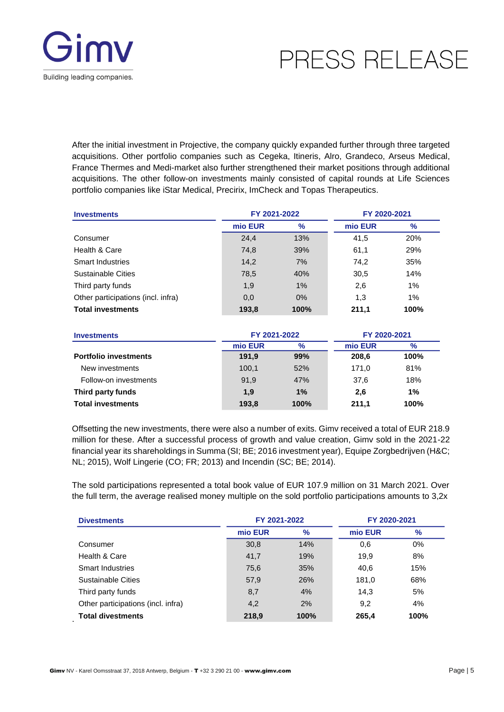

After the initial investment in Projective, the company quickly expanded further through three targeted acquisitions. Other portfolio companies such as Cegeka, Itineris, Alro, Grandeco, Arseus Medical, France Thermes and Medi-market also further strengthened their market positions through additional acquisitions. The other follow-on investments mainly consisted of capital rounds at Life Sciences portfolio companies like iStar Medical, Precirix, ImCheck and Topas Therapeutics.

| <b>Investments</b>                 | FY 2021-2022 |      | FY 2020-2021 |               |
|------------------------------------|--------------|------|--------------|---------------|
|                                    | mio EUR      | $\%$ | mio EUR      | $\frac{9}{6}$ |
| Consumer                           | 24,4         | 13%  | 41,5         | 20%           |
| Health & Care                      | 74,8         | 39%  | 61,1         | 29%           |
| <b>Smart Industries</b>            | 14,2         | 7%   | 74,2         | 35%           |
| Sustainable Cities                 | 78,5         | 40%  | 30,5         | 14%           |
| Third party funds                  | 1,9          | 1%   | 2,6          | 1%            |
| Other participations (incl. infra) | 0,0          | 0%   | 1,3          | 1%            |
| <b>Total investments</b>           | 193,8        | 100% | 211.1        | 100%          |

| Investments                  | FY 2021-2022 |      | FY 2020-2021 |      |  |
|------------------------------|--------------|------|--------------|------|--|
|                              | mio EUR      | $\%$ | mio EUR      | $\%$ |  |
| <b>Portfolio investments</b> | 191.9        | 99%  | 208,6        | 100% |  |
| New investments              | 100,1        | 52%  | 171.0        | 81%  |  |
| Follow-on investments        | 91,9         | 47%  | 37.6         | 18%  |  |
| Third party funds            | 1,9          | 1%   | 2.6          | 1%   |  |
| <b>Total investments</b>     | 193,8        | 100% | 211.1        | 100% |  |

Offsetting the new investments, there were also a number of exits. Gimv received a total of EUR 218.9 million for these. After a successful process of growth and value creation, Gimv sold in the 2021-22 financial year its shareholdings in Summa (SI; BE; 2016 investment year), Equipe Zorgbedrijven (H&C; NL; 2015), Wolf Lingerie (CO; FR; 2013) and Incendin (SC; BE; 2014).

The sold participations represented a total book value of EUR 107.9 million on 31 March 2021. Over the full term, the average realised money multiple on the sold portfolio participations amounts to 3,2x

| <b>Divestments</b>                 | FY 2021-2022 |      | FY 2020-2021 |       |
|------------------------------------|--------------|------|--------------|-------|
|                                    | mio EUR      | $\%$ | mio EUR      | $\%$  |
| Consumer                           | 30,8         | 14%  | 0,6          | $0\%$ |
| Health & Care                      | 41,7         | 19%  | 19.9         | 8%    |
| <b>Smart Industries</b>            | 75,6         | 35%  | 40.6         | 15%   |
| Sustainable Cities                 | 57,9         | 26%  | 181,0        | 68%   |
| Third party funds                  | 8,7          | 4%   | 14.3         | 5%    |
| Other participations (incl. infra) | 4,2          | 2%   | 9,2          | 4%    |
| <b>Total divestments</b>           | 218,9        | 100% | 265.4        | 100%  |

.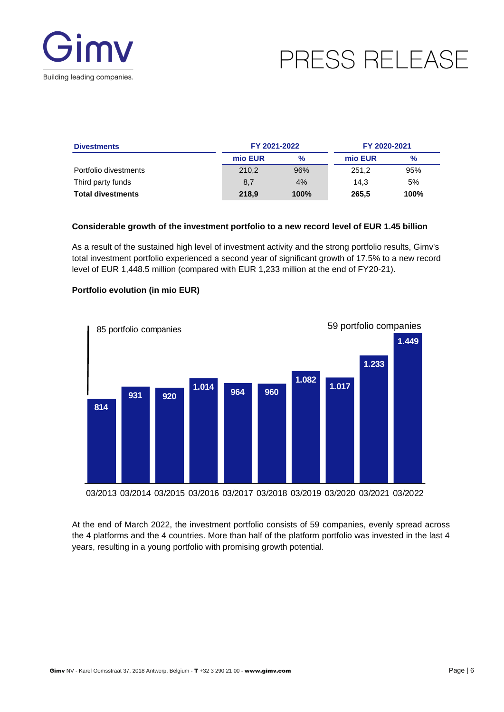

| <b>Divestments</b>       | FY 2021-2022 |      | FY 2020-2021 |      |  |
|--------------------------|--------------|------|--------------|------|--|
|                          | mio EUR      | $\%$ | mio EUR      | $\%$ |  |
| Portfolio divestments    | 210.2        | 96%  | 251.2        | 95%  |  |
| Third party funds        | 8,7          | 4%   | 14.3         | 5%   |  |
| <b>Total divestments</b> | 218,9        | 100% | 265,5        | 100% |  |

#### **Considerable growth of the investment portfolio to a new record level of EUR 1.45 billion**

As a result of the sustained high level of investment activity and the strong portfolio results, Gimv's total investment portfolio experienced a second year of significant growth of 17.5% to a new record level of EUR 1,448.5 million (compared with EUR 1,233 million at the end of FY20-21).



#### **Portfolio evolution (in mio EUR)**

03/2013 03/2014 03/2015 03/2016 03/2017 03/2018 03/2019 03/2020 03/2021 03/2022

At the end of March 2022, the investment portfolio consists of 59 companies, evenly spread across the 4 platforms and the 4 countries. More than half of the platform portfolio was invested in the last 4 years, resulting in a young portfolio with promising growth potential.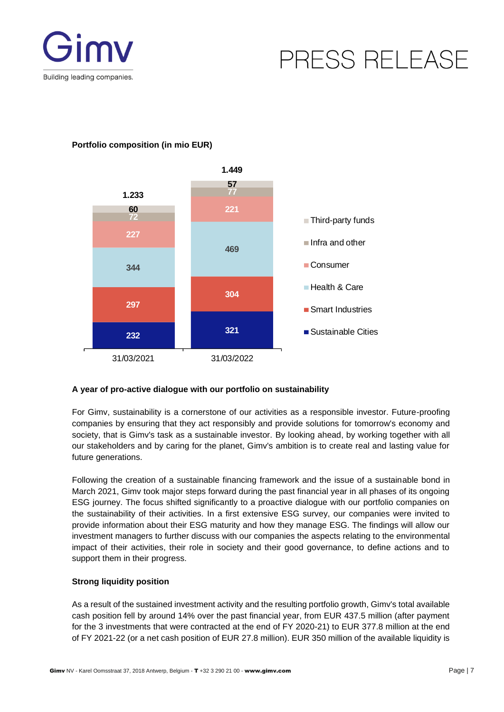



#### **Portfolio composition (in mio EUR)**

#### **A year of pro-active dialogue with our portfolio on sustainability**

For Gimv, sustainability is a cornerstone of our activities as a responsible investor. Future-proofing companies by ensuring that they act responsibly and provide solutions for tomorrow's economy and society, that is Gimv's task as a sustainable investor. By looking ahead, by working together with all our stakeholders and by caring for the planet, Gimv's ambition is to create real and lasting value for future generations.

Following the creation of a sustainable financing framework and the issue of a sustainable bond in March 2021, Gimv took major steps forward during the past financial year in all phases of its ongoing ESG journey. The focus shifted significantly to a proactive dialogue with our portfolio companies on the sustainability of their activities. In a first extensive ESG survey, our companies were invited to provide information about their ESG maturity and how they manage ESG. The findings will allow our investment managers to further discuss with our companies the aspects relating to the environmental impact of their activities, their role in society and their good governance, to define actions and to support them in their progress.

#### **Strong liquidity position**

As a result of the sustained investment activity and the resulting portfolio growth, Gimv's total available cash position fell by around 14% over the past financial year, from EUR 437.5 million (after payment for the 3 investments that were contracted at the end of FY 2020-21) to EUR 377.8 million at the end of FY 2021-22 (or a net cash position of EUR 27.8 million). EUR 350 million of the available liquidity is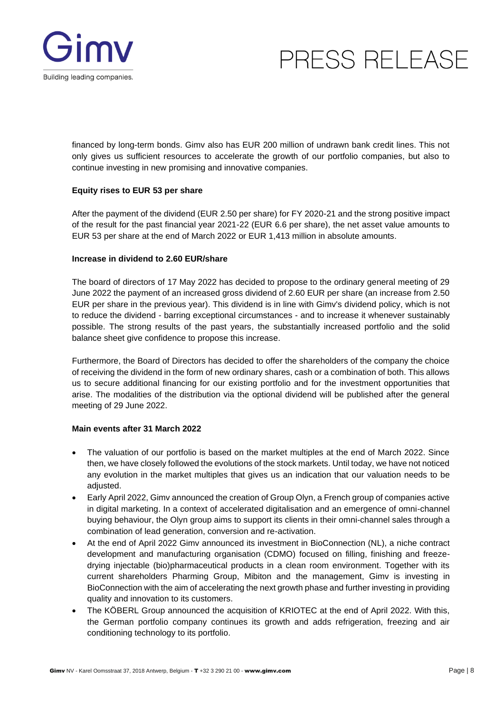

financed by long-term bonds. Gimv also has EUR 200 million of undrawn bank credit lines. This not only gives us sufficient resources to accelerate the growth of our portfolio companies, but also to continue investing in new promising and innovative companies.

#### **Equity rises to EUR 53 per share**

After the payment of the dividend (EUR 2.50 per share) for FY 2020-21 and the strong positive impact of the result for the past financial year 2021-22 (EUR 6.6 per share), the net asset value amounts to EUR 53 per share at the end of March 2022 or EUR 1,413 million in absolute amounts.

#### **Increase in dividend to 2.60 EUR/share**

The board of directors of 17 May 2022 has decided to propose to the ordinary general meeting of 29 June 2022 the payment of an increased gross dividend of 2.60 EUR per share (an increase from 2.50 EUR per share in the previous year). This dividend is in line with Gimv's dividend policy, which is not to reduce the dividend - barring exceptional circumstances - and to increase it whenever sustainably possible. The strong results of the past years, the substantially increased portfolio and the solid balance sheet give confidence to propose this increase.

Furthermore, the Board of Directors has decided to offer the shareholders of the company the choice of receiving the dividend in the form of new ordinary shares, cash or a combination of both. This allows us to secure additional financing for our existing portfolio and for the investment opportunities that arise. The modalities of the distribution via the optional dividend will be published after the general meeting of 29 June 2022.

#### **Main events after 31 March 2022**

- The valuation of our portfolio is based on the market multiples at the end of March 2022. Since then, we have closely followed the evolutions of the stock markets. Until today, we have not noticed any evolution in the market multiples that gives us an indication that our valuation needs to be adjusted.
- Early April 2022, Gimv announced the creation of Group Olyn, a French group of companies active in digital marketing. In a context of accelerated digitalisation and an emergence of omni-channel buying behaviour, the Olyn group aims to support its clients in their omni-channel sales through a combination of lead generation, conversion and re-activation.
- At the end of April 2022 Gimv announced its investment in BioConnection (NL), a niche contract development and manufacturing organisation (CDMO) focused on filling, finishing and freezedrying injectable (bio)pharmaceutical products in a clean room environment. Together with its current shareholders Pharming Group, Mibiton and the management, Gimv is investing in BioConnection with the aim of accelerating the next growth phase and further investing in providing quality and innovation to its customers.
- The KÖBERL Group announced the acquisition of KRIOTEC at the end of April 2022. With this, the German portfolio company continues its growth and adds refrigeration, freezing and air conditioning technology to its portfolio.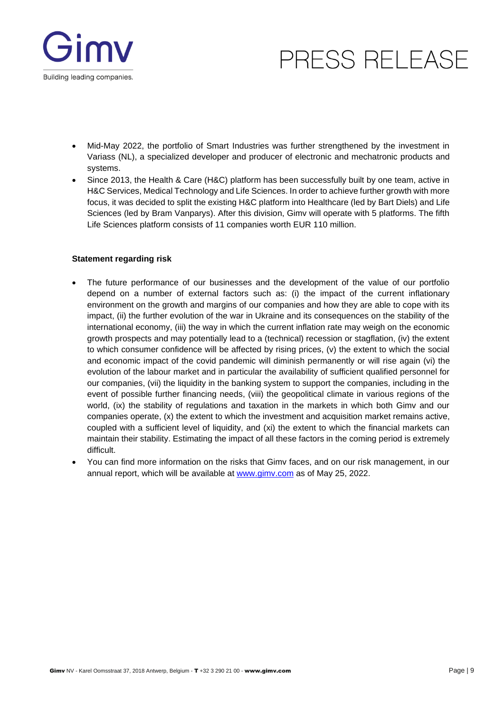

- Mid-May 2022, the portfolio of Smart Industries was further strengthened by the investment in Variass (NL), a specialized developer and producer of electronic and mechatronic products and systems.
- Since 2013, the Health & Care (H&C) platform has been successfully built by one team, active in H&C Services, Medical Technology and Life Sciences. In order to achieve further growth with more focus, it was decided to split the existing H&C platform into Healthcare (led by Bart Diels) and Life Sciences (led by Bram Vanparys). After this division, Gimv will operate with 5 platforms. The fifth Life Sciences platform consists of 11 companies worth EUR 110 million.

#### **Statement regarding risk**

- The future performance of our businesses and the development of the value of our portfolio depend on a number of external factors such as: (i) the impact of the current inflationary environment on the growth and margins of our companies and how they are able to cope with its impact, (ii) the further evolution of the war in Ukraine and its consequences on the stability of the international economy, (iii) the way in which the current inflation rate may weigh on the economic growth prospects and may potentially lead to a (technical) recession or stagflation, (iv) the extent to which consumer confidence will be affected by rising prices, (v) the extent to which the social and economic impact of the covid pandemic will diminish permanently or will rise again (vi) the evolution of the labour market and in particular the availability of sufficient qualified personnel for our companies, (vii) the liquidity in the banking system to support the companies, including in the event of possible further financing needs, (viii) the geopolitical climate in various regions of the world, (ix) the stability of regulations and taxation in the markets in which both Gimv and our companies operate, (x) the extent to which the investment and acquisition market remains active, coupled with a sufficient level of liquidity, and (xi) the extent to which the financial markets can maintain their stability. Estimating the impact of all these factors in the coming period is extremely difficult.
- You can find more information on the risks that Gimv faces, and on our risk management, in our annual report, which will be available at [www.gimv.com](http://www.gimv.com/) as of May 25, 2022.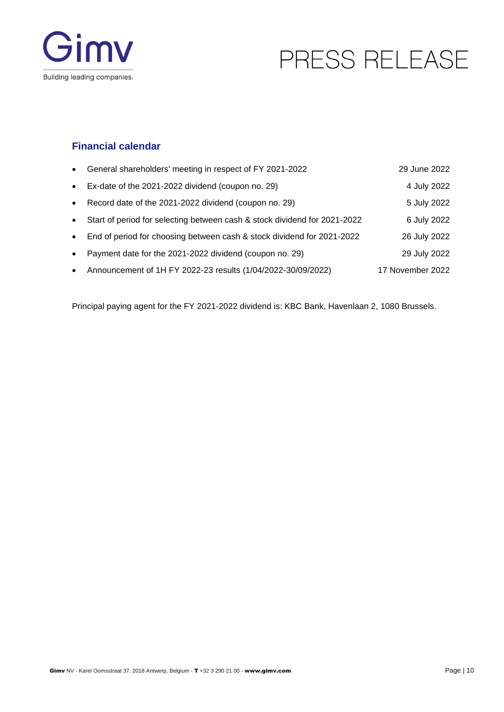



### **Financial calendar**

| $\bullet$ | General shareholders' meeting in respect of FY 2021-2022                  | 29 June 2022     |
|-----------|---------------------------------------------------------------------------|------------------|
| $\bullet$ | Ex-date of the 2021-2022 dividend (coupon no. 29)                         | 4 July 2022      |
| $\bullet$ | Record date of the 2021-2022 dividend (coupon no. 29)                     | 5 July 2022      |
| $\bullet$ | Start of period for selecting between cash & stock dividend for 2021-2022 | 6 July 2022      |
| $\bullet$ | End of period for choosing between cash & stock dividend for 2021-2022    | 26 July 2022     |
| $\bullet$ | Payment date for the 2021-2022 dividend (coupon no. 29)                   | 29 July 2022     |
| $\bullet$ | Announcement of 1H FY 2022-23 results (1/04/2022-30/09/2022)              | 17 November 2022 |

Principal paying agent for the FY 2021-2022 dividend is: KBC Bank, Havenlaan 2, 1080 Brussels.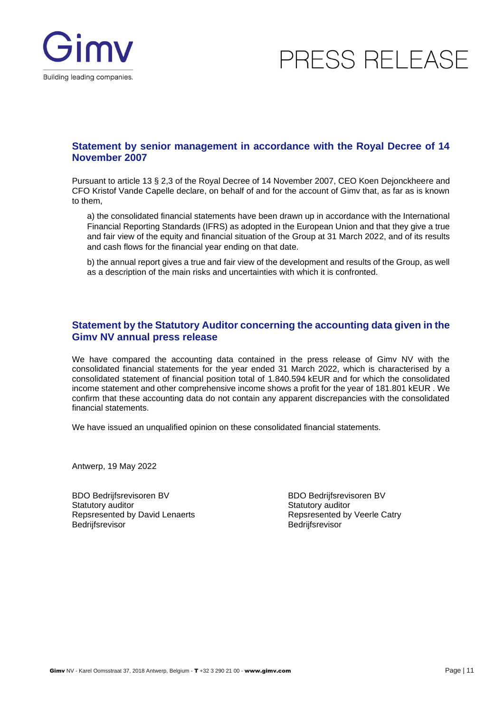

### **Statement by senior management in accordance with the Royal Decree of 14 November 2007**

Pursuant to article 13 § 2,3 of the Royal Decree of 14 November 2007, CEO Koen Dejonckheere and CFO Kristof Vande Capelle declare, on behalf of and for the account of Gimv that, as far as is known to them,

a) the consolidated financial statements have been drawn up in accordance with the International Financial Reporting Standards (IFRS) as adopted in the European Union and that they give a true and fair view of the equity and financial situation of the Group at 31 March 2022, and of its results and cash flows for the financial year ending on that date.

b) the annual report gives a true and fair view of the development and results of the Group, as well as a description of the main risks and uncertainties with which it is confronted.

#### **Statement by the Statutory Auditor concerning the accounting data given in the Gimv NV annual press release**

We have compared the accounting data contained in the press release of Gimv NV with the consolidated financial statements for the year ended 31 March 2022, which is characterised by a consolidated statement of financial position total of 1.840.594 kEUR and for which the consolidated income statement and other comprehensive income shows a profit for the year of 181.801 kEUR . We confirm that these accounting data do not contain any apparent discrepancies with the consolidated financial statements.

We have issued an unqualified opinion on these consolidated financial statements.

Antwerp, 19 May 2022

BDO Bedrijfsrevisoren BV Statutory auditor Repsresented by David Lenaerts **Bedrijfsrevisor** 

BDO Bedrijfsrevisoren BV Statutory auditor Repsresented by Veerle Catry **Bedrijfsrevisor**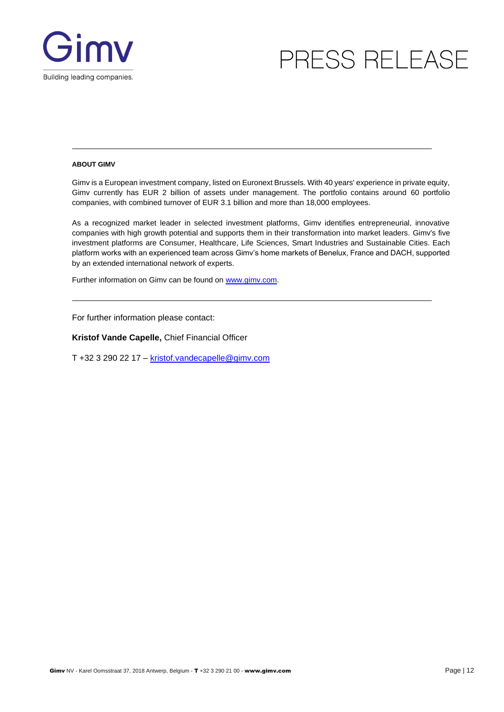

#### **ABOUT GIMV**

Gimy is a European investment company, listed on Euronext Brussels. With 40 years' experience in private equity, Gimv currently has EUR 2 billion of assets under management. The portfolio contains around 60 portfolio companies, with combined turnover of EUR 3.1 billion and more than 18,000 employees.

As a recognized market leader in selected investment platforms, Gimv identifies entrepreneurial, innovative companies with high growth potential and supports them in their transformation into market leaders. Gimv's five investment platforms are Consumer, Healthcare, Life Sciences, Smart Industries and Sustainable Cities. Each platform works with an experienced team across Gimv's home markets of Benelux, France and DACH, supported by an extended international network of experts.

[Further information on Gimv can be found on www.gimv.com.](http://www.gimv.com/)

For further information please contact:

**Kristof Vande Capelle,** Chief Financial Officer

T +32 3 290 22 17 – [kristof.vandecapelle@gimv.com](mailto:kristof.vandecapelle@gimv.com)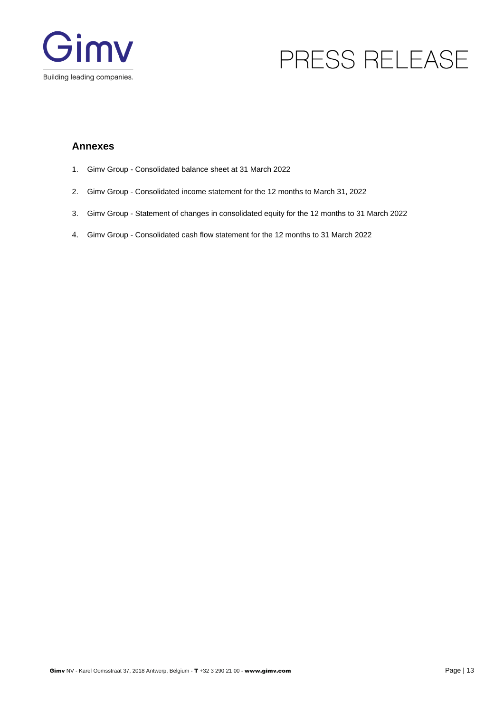

### **Annexes**

- 1. Gimv Group Consolidated balance sheet at 31 March 2022
- 2. Gimv Group Consolidated income statement for the 12 months to March 31, 2022
- 3. Gimv Group Statement of changes in consolidated equity for the 12 months to 31 March 2022
- 4. Gimv Group Consolidated cash flow statement for the 12 months to 31 March 2022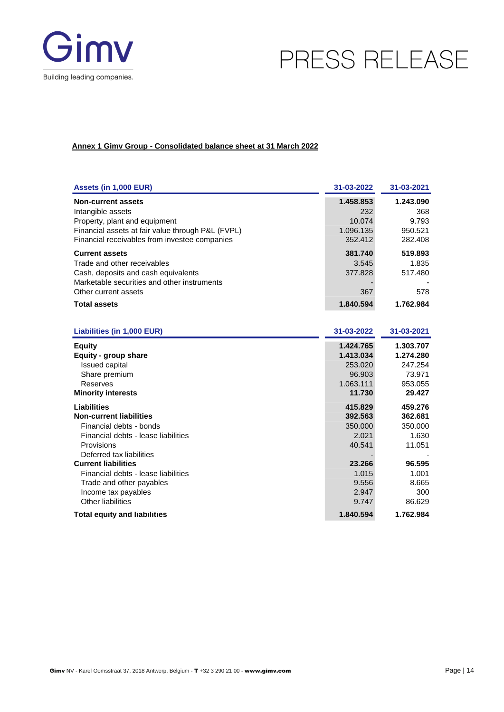

#### **Annex 1 Gimv Group - Consolidated balance sheet at 31 March 2022**

| Assets (in 1,000 EUR)                                                                                                                                                                                                                 | 31-03-2022                                                          | 31-03-2021                                                          |
|---------------------------------------------------------------------------------------------------------------------------------------------------------------------------------------------------------------------------------------|---------------------------------------------------------------------|---------------------------------------------------------------------|
| <b>Non-current assets</b><br>Intangible assets<br>Property, plant and equipment<br>Financial assets at fair value through P&L (FVPL)<br>Financial receivables from investee companies                                                 | 1.458.853<br>232<br>10.074<br>1.096.135<br>352.412                  | 1.243.090<br>368<br>9.793<br>950.521<br>282.408                     |
| <b>Current assets</b><br>Trade and other receivables<br>Cash, deposits and cash equivalents<br>Marketable securities and other instruments<br>Other current assets                                                                    | 381.740<br>3.545<br>377.828<br>367                                  | 519.893<br>1.835<br>517.480<br>578                                  |
| <b>Total assets</b>                                                                                                                                                                                                                   | 1.840.594                                                           | 1.762.984                                                           |
|                                                                                                                                                                                                                                       |                                                                     |                                                                     |
| Liabilities (in 1,000 EUR)                                                                                                                                                                                                            | 31-03-2022                                                          | 31-03-2021                                                          |
| <b>Equity</b><br>Equity - group share<br><b>Issued capital</b><br>Share premium<br>Reserves<br><b>Minority interests</b>                                                                                                              | 1.424.765<br>1.413.034<br>253.020<br>96.903<br>1.063.111<br>11.730  | 1.303.707<br>1.274.280<br>247.254<br>73.971<br>953.055<br>29.427    |
| <b>Liabilities</b><br><b>Non-current liabilities</b><br>Financial debts - bonds<br>Financial debts - lease liabilities<br>Provisions<br>Deferred tax liabilities<br><b>Current liabilities</b><br>Financial debts - lease liabilities | 415.829<br>392.563<br>350.000<br>2.021<br>40.541<br>23.266<br>1.015 | 459.276<br>362.681<br>350.000<br>1.630<br>11.051<br>96.595<br>1.001 |
| Trade and other payables<br>Income tax payables<br>Other liabilities<br><b>Total equity and liabilities</b>                                                                                                                           | 9.556<br>2.947<br>9.747<br>1.840.594                                | 8.665<br>300<br>86.629<br>1.762.984                                 |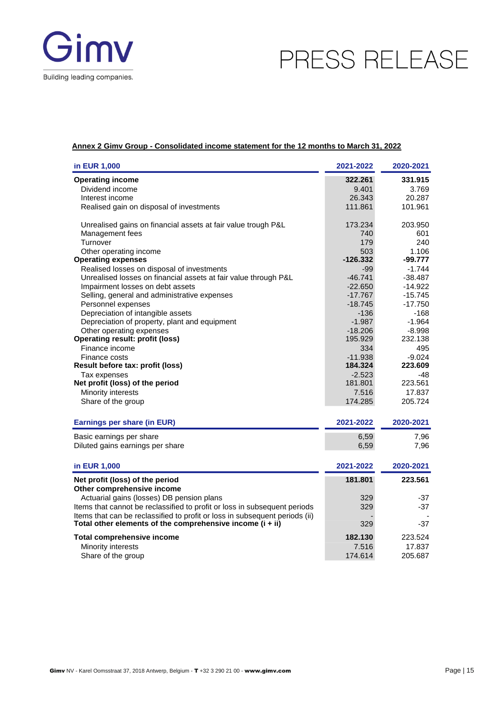

#### **Annex 2 Gimv Group - Consolidated income statement for the 12 months to March 31, 2022**

| in EUR 1,000                                                                | 2021-2022  | 2020-2021 |
|-----------------------------------------------------------------------------|------------|-----------|
| <b>Operating income</b>                                                     | 322.261    | 331.915   |
| Dividend income                                                             | 9.401      | 3.769     |
| Interest income                                                             | 26.343     | 20.287    |
| Realised gain on disposal of investments                                    | 111.861    | 101.961   |
| Unrealised gains on financial assets at fair value trough P&L               | 173.234    | 203.950   |
| Management fees                                                             | 740        | 601       |
| Turnover                                                                    | 179        | 240       |
| Other operating income                                                      | 503        | 1.106     |
| <b>Operating expenses</b>                                                   | $-126.332$ | -99.777   |
| Realised losses on disposal of investments                                  | $-99$      | $-1.744$  |
| Unrealised losses on financial assets at fair value through P&L             | $-46.741$  | $-38.487$ |
| Impairment losses on debt assets                                            | $-22.650$  | $-14.922$ |
| Selling, general and administrative expenses                                | $-17.767$  | $-15.745$ |
| Personnel expenses                                                          | $-18.745$  | $-17.750$ |
| Depreciation of intangible assets                                           | $-136$     | $-168$    |
| Depreciation of property, plant and equipment                               | $-1.987$   | $-1.964$  |
| Other operating expenses                                                    | $-18.206$  | $-8.998$  |
| <b>Operating result: profit (loss)</b>                                      | 195.929    | 232.138   |
| Finance income                                                              | 334        | 495       |
| Finance costs                                                               | $-11.938$  | $-9.024$  |
| Result before tax: profit (loss)                                            | 184.324    | 223.609   |
| Tax expenses                                                                | $-2.523$   | -48       |
| Net profit (loss) of the period                                             | 181.801    | 223.561   |
| Minority interests                                                          | 7.516      | 17.837    |
| Share of the group                                                          | 174.285    | 205.724   |
| Earnings per share (in EUR)                                                 | 2021-2022  | 2020-2021 |
| Basic earnings per share                                                    | 6,59       | 7,96      |
| Diluted gains earnings per share                                            | 6,59       | 7,96      |
|                                                                             |            |           |
| in EUR 1,000                                                                | 2021-2022  | 2020-2021 |
| Net profit (loss) of the period                                             | 181.801    | 223.561   |
| Other comprehensive income                                                  |            |           |
| Actuarial gains (losses) DB pension plans                                   | 329        | -37       |
| Items that cannot be reclassified to profit or loss in subsequent periods   | 329        | -37       |
| Items that can be reclassified to profit or loss in subsequent periods (ii) |            |           |
| Total other elements of the comprehensive income $(i + ii)$                 | 329        | -37       |
| <b>Total comprehensive income</b>                                           | 182.130    | 223.524   |
| Minority interests                                                          | 7.516      | 17.837    |
| Share of the group                                                          | 174.614    | 205.687   |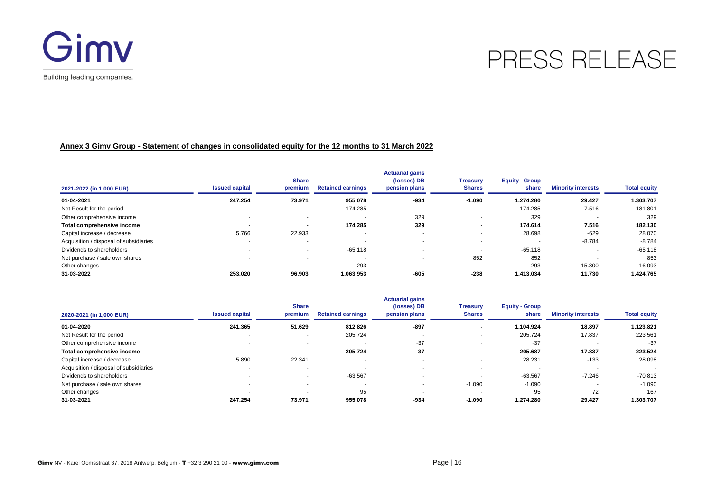

#### **Annex 3 Gimv Group - Statement of changes in consolidated equity for the 12 months to 31 March 2022**

| 2021-2022 (in 1,000 EUR)               | <b>Issued capital</b>    | <b>Share</b><br>premium  | <b>Retained earnings</b> | <b>Actuarial gains</b><br>(losses) DB<br>pension plans | <b>Treasury</b><br><b>Shares</b> | <b>Equity - Group</b><br>share | <b>Minority interests</b> | <b>Total equity</b> |
|----------------------------------------|--------------------------|--------------------------|--------------------------|--------------------------------------------------------|----------------------------------|--------------------------------|---------------------------|---------------------|
| 01-04-2021                             | 247.254                  | 73.971                   | 955.078                  | $-934$                                                 | $-1.090$                         | 1.274.280                      | 29.427                    | 1.303.707           |
| Net Result for the period              |                          | . .                      | 174.285                  |                                                        | $\overline{\phantom{a}}$         | 174.285                        | 7.516                     | 181.801             |
| Other comprehensive income             |                          | $\sim$                   |                          | 329                                                    | $\overline{\phantom{a}}$         | 329                            |                           | 329                 |
| Total comprehensive income             | $\overline{\phantom{a}}$ | $\overline{\phantom{a}}$ | 174.285                  | 329                                                    | $\,$                             | 174.614                        | 7.516                     | 182.130             |
| Capital increase / decrease            | 5.766                    | 22.933                   |                          |                                                        | $\overline{\phantom{a}}$         | 28.698                         | $-629$                    | 28.070              |
| Acquisition / disposal of subsidiaries |                          |                          |                          |                                                        | $\overline{\phantom{a}}$         |                                | $-8.784$                  | $-8.784$            |
| Dividends to shareholders              |                          | . .                      | $-65.118$                |                                                        | $\sim$                           | $-65.118$                      |                           | $-65.118$           |
| Net purchase / sale own shares         | $\sim$                   |                          |                          |                                                        | 852                              | 852                            |                           | 853                 |
| Other changes                          |                          |                          | $-293$                   |                                                        | $\overline{\phantom{a}}$         | $-293$                         | $-15.800$                 | $-16.093$           |
| 31-03-2022                             | 253.020                  | 96.903                   | 1.063.953                | $-605$                                                 | $-238$                           | 1.413.034                      | 11.730                    | 1.424.765           |

|                                        |                          | <b>Share</b>   |                          | <b>Actuarial gains</b><br>(losses) DB | <b>Treasury</b>          | <b>Equity - Group</b> |                           |                          |
|----------------------------------------|--------------------------|----------------|--------------------------|---------------------------------------|--------------------------|-----------------------|---------------------------|--------------------------|
| 2020-2021 (in 1,000 EUR)               | <b>Issued capital</b>    | premium        | <b>Retained earnings</b> | pension plans                         | <b>Shares</b>            | share                 | <b>Minority interests</b> | <b>Total equity</b>      |
| 01-04-2020                             | 241.365                  | 51.629         | 812.826                  | $-897$                                | $\blacksquare$           | 1.104.924             | 18.897                    | 1.123.821                |
| Net Result for the period              |                          | ۰              | 205.724                  | $\overline{\phantom{a}}$              |                          | 205.724               | 17.837                    | 223.561                  |
| Other comprehensive income             | $\overline{\phantom{a}}$ | . .            |                          | $-37$                                 |                          | $-37$                 |                           | $-37$                    |
| Total comprehensive income             |                          | $\blacksquare$ | 205.724                  | $-37$                                 | $\overline{\phantom{a}}$ | 205.687               | 17.837                    | 223.524                  |
| Capital increase / decrease            | 5.890                    | 22.341         |                          |                                       |                          | 28.231                | $-133$                    | 28.098                   |
| Acquisition / disposal of subsidiaries |                          |                | $\overline{\phantom{a}}$ |                                       |                          |                       |                           | $\overline{\phantom{a}}$ |
| Dividends to shareholders              |                          | $\sim$         | $-63.567$                | $\overline{\phantom{a}}$              |                          | $-63.567$             | $-7.246$                  | $-70.813$                |
| Net purchase / sale own shares         |                          | . .            | $\overline{\phantom{a}}$ | $\overline{\phantom{a}}$              | $-1.090$                 | $-1.090$              |                           | $-1.090$                 |
| Other changes                          |                          |                | 95                       |                                       |                          | 95                    | 72                        | 167                      |
| 31-03-2021                             | 247.254                  | 73.971         | 955.078                  | $-934$                                | $-1.090$                 | 1.274.280             | 29.427                    | 1.303.707                |